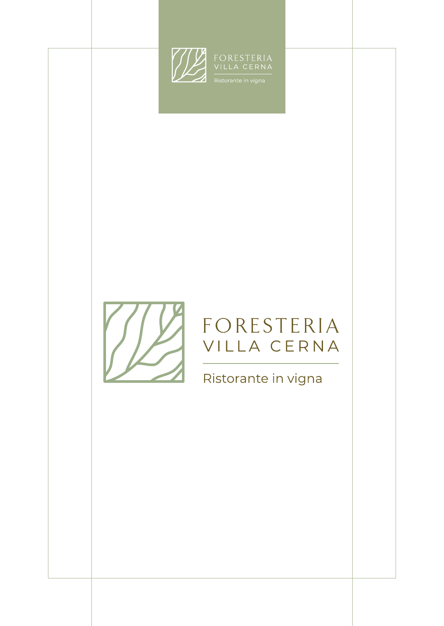



## FORESTERIA VILLA CERNA

Ristorante in vigna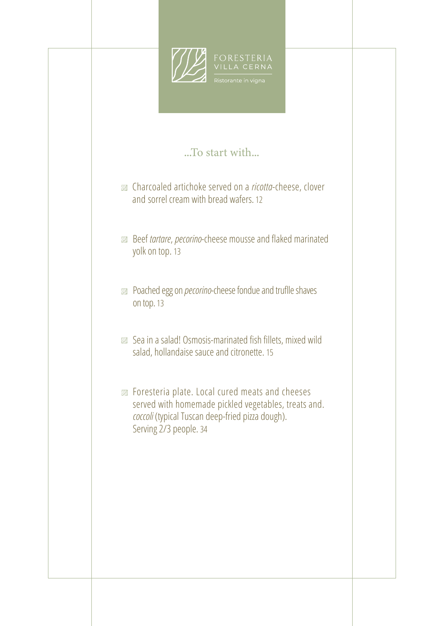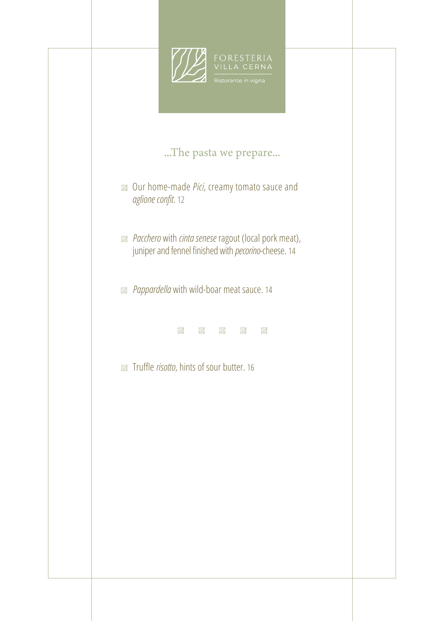![](_page_2_Picture_0.jpeg)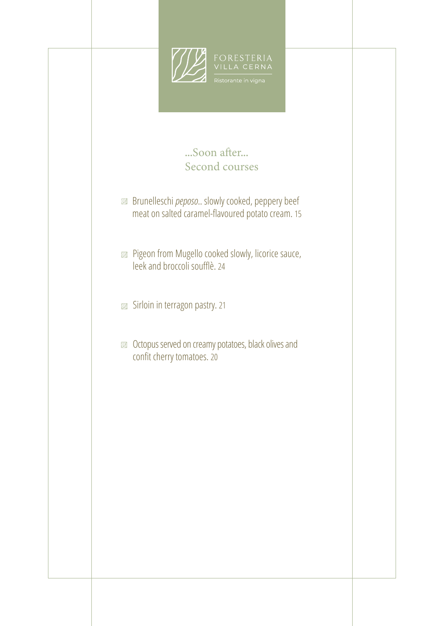![](_page_3_Picture_0.jpeg)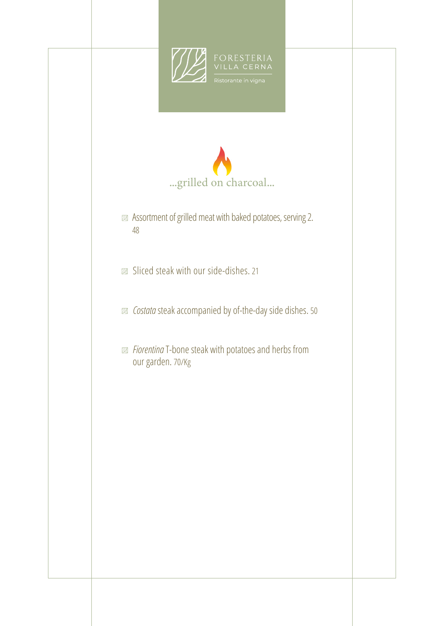![](_page_4_Picture_0.jpeg)